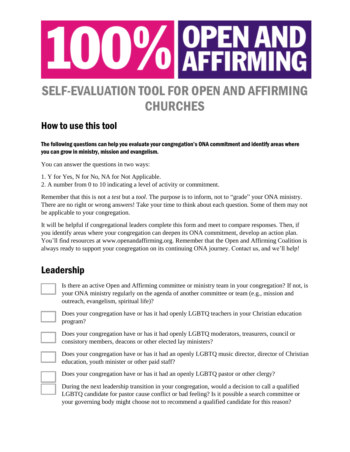

# SELF-EVALUATION TOOL FOR OPEN AND AFFIRMING **CHURCHES**

#### How to use this tool

The following questions can help you evaluate your congregation's ONA commitment and identify areas where you can grow in ministry, mission and evangelism.

You can answer the questions in two ways:

- 1. Y for Yes, N for No, NA for Not Applicable.
- 2. A number from 0 to 10 indicating a level of activity or commitment.

Remember that this is not a *test* but a *tool*. The purpose is to inform, not to "grade" your ONA ministry. There are no right or wrong answers! Take your time to think about each question. Some of them may not be applicable to your congregation.

It will be helpful if congregational leaders complete this form and meet to compare responses. Then, if you identify areas where your congregation can deepen its ONA commitment, develop an action plan. You'll find resources at [www.openandaffirming.org.](http://www.openandaffirming.org/) Remember that the Open and Affirming Coalition is always ready to support your congregation on its continuing ONA journey. Contact us, and we'll help!

#### Leadership

Is there an active Open and Affirming committee or ministry team in your congregation? If not, is your ONA ministry regularly on the agenda of another committee or team (e.g., mission and outreach, evangelism, spiritual life)?

**\_\_\_\_** Does your congregation have or has it had openly LGBTQ teachers in your Christian education program?

**\_\_\_\_** Does your congregation have or has it had openly LGBTQ moderators, treasurers, council or consistory members, deacons or other elected lay ministers?

Does your congregation have or has it had an openly LGBTQ music director, director of Christian education, youth minister or other paid staff?



Does your congregation have or has it had an openly LGBTQ pastor or other clergy?

**\_\_\_\_** During the next leadership transition in your congregation, would a decision to call a qualified LGBTQ candidate for pastor cause conflict or bad feeling? Is it possible a search committee or your governing body might choose not to recommend a qualified candidate for this reason?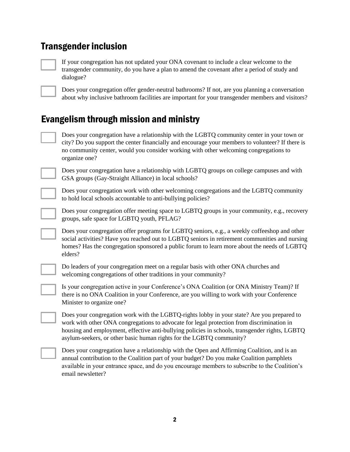#### Transgender inclusion

**\_\_\_\_** If your congregation has not updated your ONA covenant to include a clear welcome to the transgender community, do you have a plan to amend the covenant after a period of study and dialogue?



**\_\_\_\_** Does your congregation offer gender-neutral bathrooms? If not, are you planning a conversation about why inclusive bathroom facilities are important for your transgender members and visitors?

# Evangelism through mission and ministry

**\_\_\_\_** Does your congregation have a relationship with the LGBTQ community center in your town or city? Do you support the center financially and encourage your members to volunteer? If there is no community center, would you consider working with other welcoming congregations to organize one?



**\_\_\_\_** Does your congregation have a relationship with LGBTQ groups on college campuses and with GSA groups (Gay-Straight Alliance) in local schools?

**\_\_\_\_** Does your congregation work with other welcoming congregations and the LGBTQ community to hold local schools accountable to anti-bullying policies?

**\_\_\_\_** Does your congregation offer meeting space to LGBTQ groups in your community, e.g., recovery groups, safe space for LGBTQ youth, PFLAG?

Does your congregation offer programs for LGBTQ seniors, e.g., a weekly coffeeshop and other social activities? Have you reached out to LGBTQ seniors in retirement communities and nursing homes? Has the congregation sponsored a public forum to learn more about the needs of LGBTQ elders?



**\_\_\_\_** Do leaders of your congregation meet on a regular basis with other ONA churches and welcoming congregations of other traditions in your community?

**\_\_\_\_** Is your congregation active in your Conference's ONA Coalition (or ONA Ministry Team)? If there is no ONA Coalition in your Conference, are you willing to work with your Conference Minister to organize one?

**\_\_\_\_** Does your congregation work with the LGBTQ-rights lobby in your state? Are you prepared to work with other ONA congregations to advocate for legal protection from discrimination in housing and employment, effective anti-bullying policies in schools, transgender rights, LGBTQ asylum-seekers, or other basic human rights for the LGBTQ community?

**\_\_\_\_** Does your congregation have a relationship with the Open and Affirming Coalition, and is an annual contribution to the Coalition part of your budget? Do you make Coalition pamphlets available in your entrance space, and do you encourage members to subscribe to the Coalition's email newsletter?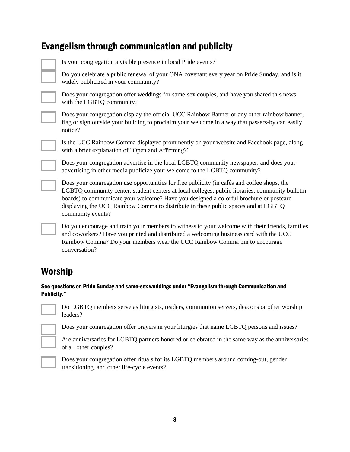#### Evangelism through communication and publicity

**\_\_\_\_** Is your congregation a visible presence in local Pride events?

**\_\_\_\_** Do you celebrate a public renewal of your ONA covenant every year on Pride Sunday, and is it widely publicized in your community?



**\_\_\_\_** Does your congregation offer weddings for same-sex couples, and have you shared this news with the LGBTQ community?

Does your congregation display the official UCC Rainbow Banner or any other rainbow banner, flag or sign outside your building to proclaim your welcome in a way that passers-by can easily notice?

**\_\_\_\_** Is the UCC Rainbow Comma displayed prominently on your website and Facebook page, along with a brief explanation of "Open and Affirming?"

**\_\_\_\_** Does your congregation advertise in the local LGBTQ community newspaper, and does your advertising in other media publicize your welcome to the LGBTQ community?

**\_\_\_\_** Does your congregation use opportunities for free publicity (in cafés and coffee shops, the LGBTQ community center, student centers at local colleges, public libraries, community bulletin boards) to communicate your welcome? Have you designed a colorful brochure or postcard displaying the UCC Rainbow Comma to distribute in these public spaces and at LGBTQ community events?

**\_\_\_\_** Do you encourage and train your members to witness to your welcome with their friends, families and coworkers? Have you printed and distributed a welcoming business card with the UCC Rainbow Comma? Do your members wear the UCC Rainbow Comma pin to encourage conversation?

# Worship

#### See questions on Pride Sunday and same-sex weddings under "Evangelism through Communication and Publicity."

|  | ______ |  |
|--|--------|--|
|  |        |  |
|  |        |  |
|  |        |  |

**\_\_\_\_** Do LGBTQ members serve as liturgists, readers, communion servers, deacons or other worship leaders?

**L** Does your congregation offer prayers in your liturgies that name LGBTQ persons and issues?

**\_\_\_\_** Are anniversaries for LGBTQ partners honored or celebrated in the same way as the anniversaries of all other couples?



**\_\_\_\_** Does your congregation offer rituals for its LGBTQ members around coming-out, gender transitioning, and other life-cycle events?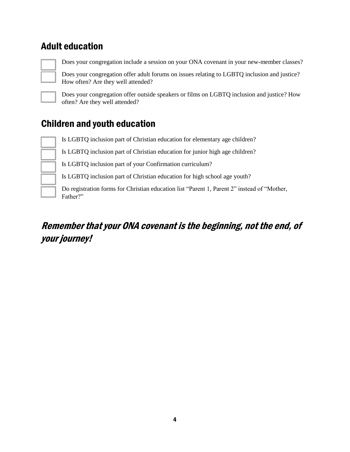#### Adult education



**\_\_\_\_** Does your congregation include a session on your ONA covenant in your new-member classes?

Does your congregation offer adult forums on issues relating to LGBTQ inclusion and justice? How often? Are they well attended?



**\_\_\_\_** Does your congregation offer outside speakers or films on LGBTQ inclusion and justice? How often? Are they well attended?

# Children and youth education

**\_\_\_\_** Is LGBTQ inclusion part of Christian education for elementary age children?

**\_\_\_\_** Is LGBTQ inclusion part of Christian education for junior high age children?

**\_\_\_\_** Is LGBTQ inclusion part of your Confirmation curriculum?

**\_\_\_\_** Is LGBTQ inclusion part of Christian education for high school age youth?

**\_\_\_\_** Do registration forms for Christian education list "Parent 1, Parent 2" instead of "Mother, Father?"

# Remember that your ONA covenant is the beginning, not the end, of your journey!